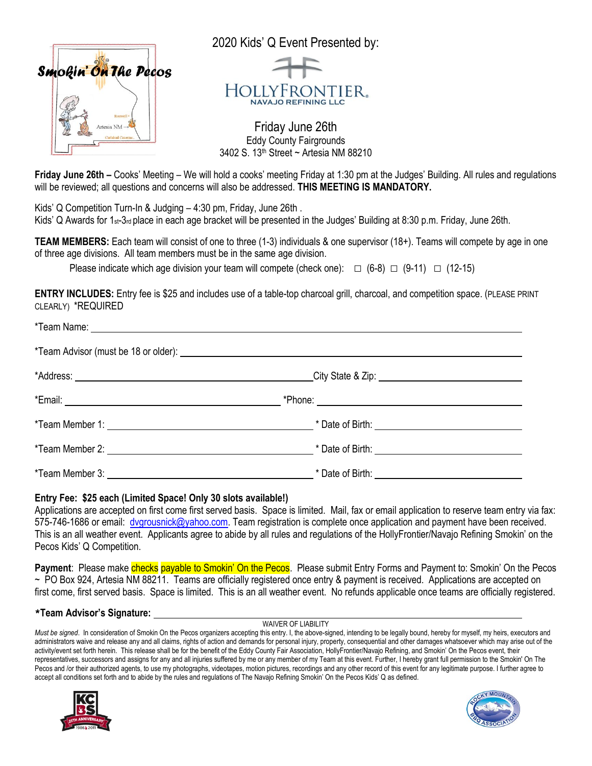

**Friday June 26th –** Cooks' Meeting – We will hold a cooks' meeting Friday at 1:30 pm at the Judges' Building. All rules and regulations will be reviewed; all questions and concerns will also be addressed. **THIS MEETING IS MANDATORY.** 

Kids' Q Competition Turn-In & Judging – 4:30 pm, Friday, June 26th .

Kids' Q Awards for 1<sub>st</sub>-3<sub>rd</sub> place in each age bracket will be presented in the Judges' Building at 8:30 p.m. Friday, June 26th.

**TEAM MEMBERS:** Each team will consist of one to three (1-3) individuals & one supervisor (18+). Teams will compete by age in one of three age divisions. All team members must be in the same age division.

Please indicate which age division your team will compete (check one):  $\Box$  (6-8)  $\Box$  (9-11)  $\Box$  (12-15)

**ENTRY INCLUDES:** Entry fee is \$25 and includes use of a table-top charcoal grill, charcoal, and competition space. (PLEASE PRINT CLEARLY) \*REQUIRED

## **Entry Fee: \$25 each (Limited Space! Only 30 slots available!)**

Applications are accepted on first come first served basis. Space is limited. Mail, fax or email application to reserve team entry via fax: 575-746-1686 or email: [dvgrousnick@yahoo.com.](mailto:dvgrousnick@yahoo.com) Team registration is complete once application and payment have been received. This is an all weather event. Applicants agree to abide by all rules and regulations of the HollyFrontier/Navajo Refining Smokin' on the Pecos Kids' Q Competition.

**Payment**: Please make checks payable to Smokin' On the Pecos. Please submit Entry Forms and Payment to: Smokin' On the Pecos ~ PO Box 924, Artesia NM 88211. Teams are officially registered once entry & payment is received. Applications are accepted on first come, first served basis. Space is limited. This is an all weather event. No refunds applicable once teams are officially registered.

## \***Team Advisor's Signature:**

WAIVER OF LIABILITY

*Must be signed*. In consideration of Smokin On the Pecos organizers accepting this entry. I, the above-signed, intending to be legally bound, hereby for myself, my heirs, executors and administrators waive and release any and all claims, rights of action and demands for personal injury, property, consequential and other damages whatsoever which may arise out of the activity/event set forth herein. This release shall be for the benefit of the Eddy County Fair Association, HollyFrontier/Navajo Refining, and Smokin' On the Pecos event, their representatives, successors and assigns for any and all injuries suffered by me or any member of my Team at this event. Further, I hereby grant full permission to the Smokin' On The Pecos and /or their authorized agents, to use my photographs, videotapes, motion pictures, recordings and any other record of this event for any legitimate purpose. I further agree to accept all conditions set forth and to abide by the rules and regulations of The Navajo Refining Smokin' On the Pecos Kids' Q as defined.